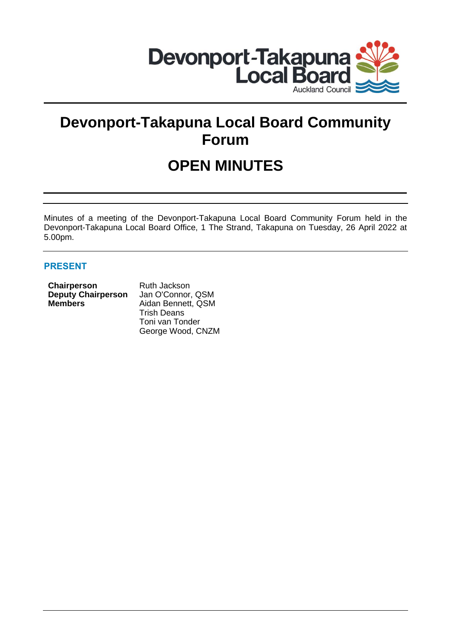

# **Devonport-Takapuna Local Board Community Forum**

# **OPEN MINUTES**

Minutes of a meeting of the Devonport-Takapuna Local Board Community Forum held in the Devonport-Takapuna Local Board Office, 1 The Strand, Takapuna on Tuesday, 26 April 2022 at 5.00pm.

# **PRESENT**

| <b>Chairperson</b>        | Ruth |
|---------------------------|------|
| <b>Deputy Chairperson</b> | Jan  |
| <b>Members</b>            | Aida |
|                           |      |

**h** Jackson **O'Connor, QSM Manuela** Bennett, QSM Trish Deans Toni van Tonder George Wood, CNZM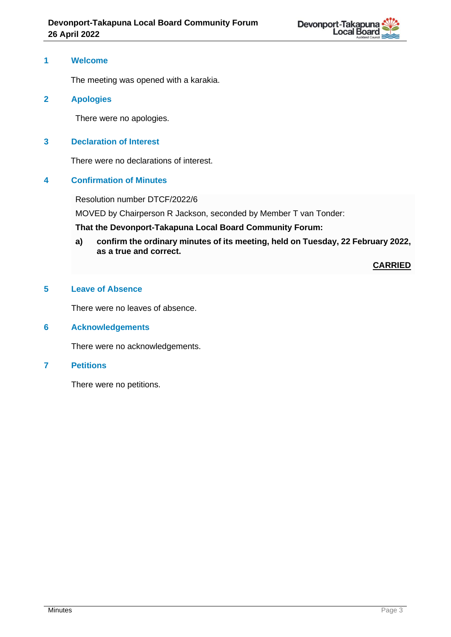

# **1 Welcome**

The meeting was opened with a karakia.

# **2 Apologies**

There were no apologies.

# **3 Declaration of Interest**

There were no declarations of interest.

# **4 Confirmation of Minutes**

Resolution number DTCF/2022/6

MOVED by Chairperson R Jackson, seconded by Member T van Tonder:

**That the Devonport-Takapuna Local Board Community Forum:**

**a) confirm the ordinary minutes of its meeting, held on Tuesday, 22 February 2022, as a true and correct.**

**CARRIED**

# **5 Leave of Absence**

There were no leaves of absence.

# **6 Acknowledgements**

There were no acknowledgements.

#### **7 Petitions**

There were no petitions.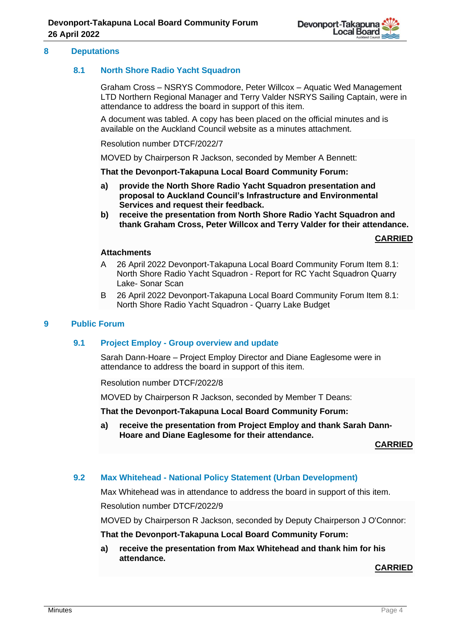

### **8 Deputations**

# **8.1 North Shore Radio Yacht Squadron**

Graham Cross – NSRYS Commodore, Peter Willcox – Aquatic Wed Management LTD Northern Regional Manager and Terry Valder NSRYS Sailing Captain, were in attendance to address the board in support of this item.

A document was tabled. A copy has been placed on the official minutes and is available on the Auckland Council website as a minutes attachment.

Resolution number DTCF/2022/7

MOVED by Chairperson R Jackson, seconded by Member A Bennett:

**That the Devonport-Takapuna Local Board Community Forum:**

- **a) provide the North Shore Radio Yacht Squadron presentation and proposal to Auckland Council's Infrastructure and Environmental Services and request their feedback.**
- **b) receive the presentation from North Shore Radio Yacht Squadron and thank Graham Cross, Peter Willcox and Terry Valder for their attendance.**

**CARRIED**

#### **Attachments**

- A 26 April 2022 Devonport-Takapuna Local Board Community Forum Item 8.1: North Shore Radio Yacht Squadron - Report for RC Yacht Squadron Quarry Lake- Sonar Scan
- B 26 April 2022 Devonport-Takapuna Local Board Community Forum Item 8.1: North Shore Radio Yacht Squadron - Quarry Lake Budget

#### **9 Public Forum**

# **9.1 Project Employ - Group overview and update**

Sarah Dann-Hoare – Project Employ Director and Diane Eaglesome were in attendance to address the board in support of this item.

Resolution number DTCF/2022/8

MOVED by Chairperson R Jackson, seconded by Member T Deans:

**That the Devonport-Takapuna Local Board Community Forum:**

**a) receive the presentation from Project Employ and thank Sarah Dann-Hoare and Diane Eaglesome for their attendance.**

**CARRIED**

#### **9.2 Max Whitehead - National Policy Statement (Urban Development)**

Max Whitehead was in attendance to address the board in support of this item.

Resolution number DTCF/2022/9

MOVED by Chairperson R Jackson, seconded by Deputy Chairperson J O'Connor:

### **That the Devonport-Takapuna Local Board Community Forum:**

**a) receive the presentation from Max Whitehead and thank him for his attendance.** 

**CARRIED**